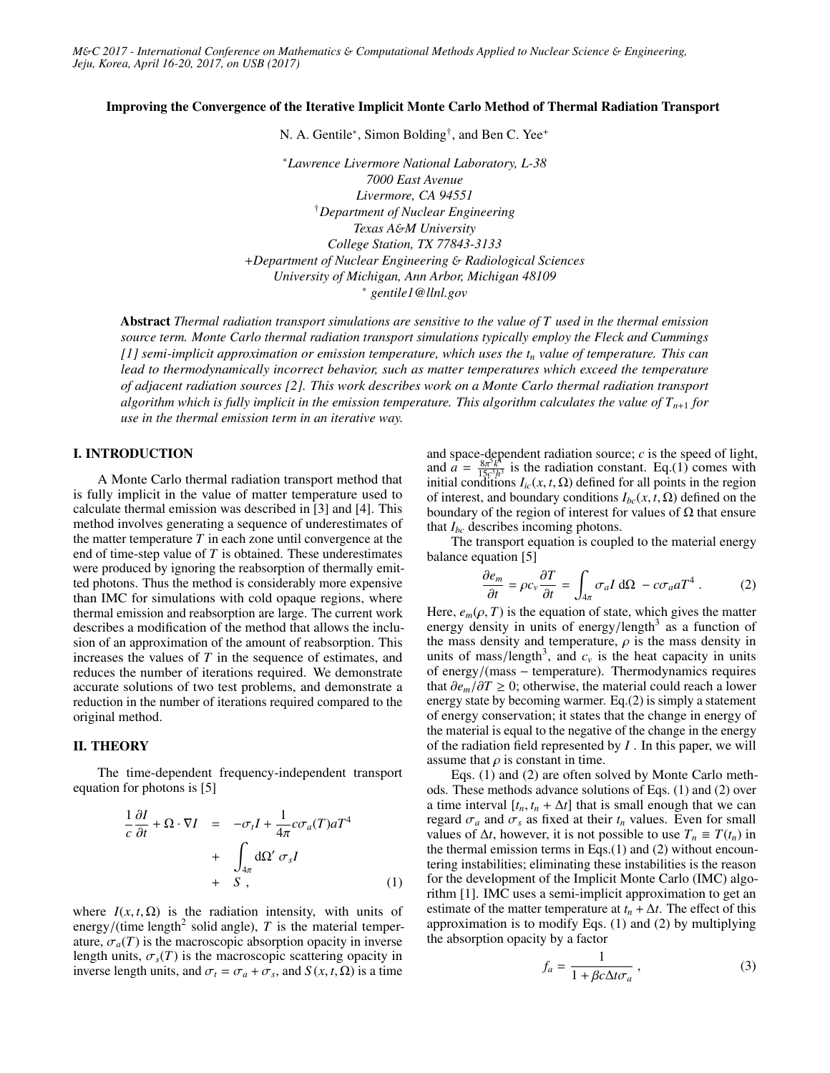*M*&*C 2017 - International Conference on Mathematics* & *Computational Methods Applied to Nuclear Science* & *Engineering, Jeju, Korea, April 16-20, 2017, on USB (2017)*

#### Improving the Convergence of the Iterative Implicit Monte Carlo Method of Thermal Radiation Transport

N. A. Gentile<sup>∗</sup>, Simon Bolding<sup>†</sup>, and Ben C. Yee<sup>+</sup>

<sup>∗</sup>*Lawrence Livermore National Laboratory, L-38 7000 East Avenue Livermore, CA 94551* †*Department of Nuclear Engineering Texas A*&*M University College Station, TX 77843-3133* +*Department of Nuclear Engineering* & *Radiological Sciences University of Michigan, Ann Arbor, Michigan 48109* <sup>∗</sup> *gentile1@llnl.gov*

Abstract *Thermal radiation transport simulations are sensitive to the value of T used in the thermal emission source term. Monte Carlo thermal radiation transport simulations typically employ the Fleck and Cummings [1] semi-implicit approximation or emission temperature, which uses the t<sup>n</sup> value of temperature. This can lead to thermodynamically incorrect behavior, such as matter temperatures which exceed the temperature of adjacent radiation sources [2]. This work describes work on a Monte Carlo thermal radiation transport algorithm which is fully implicit in the emission temperature. This algorithm calculates the value of*  $T_{n+1}$  *for use in the thermal emission term in an iterative way.*

### I. INTRODUCTION

A Monte Carlo thermal radiation transport method that is fully implicit in the value of matter temperature used to calculate thermal emission was described in [3] and [4]. This method involves generating a sequence of underestimates of the matter temperature *T* in each zone until convergence at the end of time-step value of *T* is obtained. These underestimates were produced by ignoring the reabsorption of thermally emitted photons. Thus the method is considerably more expensive than IMC for simulations with cold opaque regions, where thermal emission and reabsorption are large. The current work describes a modification of the method that allows the inclusion of an approximation of the amount of reabsorption. This increases the values of *T* in the sequence of estimates, and reduces the number of iterations required. We demonstrate accurate solutions of two test problems, and demonstrate a reduction in the number of iterations required compared to the original method.

### II. THEORY

The time-dependent frequency-independent transport equation for photons is [5]

$$
\frac{1}{c}\frac{\partial I}{\partial t} + \Omega \cdot \nabla I = -\sigma_t I + \frac{1}{4\pi}c\sigma_a(T)aT^4
$$

$$
+ \int_{4\pi} d\Omega' \sigma_s I
$$

$$
+ S , \qquad (1)
$$

where  $I(x, t, \Omega)$  is the radiation intensity, with units of energy/(time length<sup>2</sup> solid angle), *T* is the material temper-<br>ature  $\sigma$  (*T*) is the macroscopic absorption opacity in inverse ature,  $\sigma_a(T)$  is the macroscopic absorption opacity in inverse length units,  $\sigma_s(T)$  is the macroscopic scattering opacity in inverse length units, and  $\sigma_t = \sigma_a + \sigma_s$ , and *S* (*x*, *t*,  $\Omega$ ) is a time

and space-dependent radiation source; *c* is the speed of light, and  $a = \frac{8\pi^5 k^4}{15c^3 h^4}$  $\frac{8\pi^2 k^4}{15c^3h^3}$  is the radiation constant. Eq.(1) comes with initial conditions  $I_{ic}(x, t, \Omega)$  defined for all points in the region of interest, and boundary conditions  $I_{bc}(x, t, \Omega)$  defined on the boundary of the region of interest for values of  $\Omega$  that ensure that  $I_{bc}$  describes incoming photons.

The transport equation is coupled to the material energy balance equation [5]

$$
\frac{\partial e_m}{\partial t} = \rho c_v \frac{\partial T}{\partial t} = \int_{4\pi} \sigma_a I \, d\Omega - c \sigma_a a T^4 \,. \tag{2}
$$

Here,  $e_m(\rho, T)$  is the equation of state, which gives the matter energy density in units of energy/length<sup>3</sup> as a function of energy density in units of energy/length<sup>3</sup> as a function of<br>the mass density and temperature, *o* is the mass density in the mass density and temperature,  $\rho$  is the mass density in units of mass/length<sup>3</sup>, and  $c_v$  is the heat capacity in units of energy/(mass – temperature). Thermodynamics requires of energy/(mass <sup>−</sup> temperature). Thermodynamics requires that  $∂e<sub>m</sub>/∂T ≥ 0$ ; otherwise, the material could reach a lower energy state by becoming warmer. Eq.(2) is simply a statement of energy conservation; it states that the change in energy of the material is equal to the negative of the change in the energy of the radiation field represented by *I* . In this paper, we will assume that  $\rho$  is constant in time.

Eqs. (1) and (2) are often solved by Monte Carlo methods. These methods advance solutions of Eqs. (1) and (2) over a time interval  $[t_n, t_n + \Delta t]$  that is small enough that we can regard  $\sigma_a$  and  $\sigma_s$  as fixed at their  $t_n$  values. Even for small values of  $\Delta t$ , however, it is not possible to use  $T_n \equiv T(t_n)$  in the thermal emission terms in Eqs. $(1)$  and  $(2)$  without encountering instabilities; eliminating these instabilities is the reason for the development of the Implicit Monte Carlo (IMC) algorithm [1]. IMC uses a semi-implicit approximation to get an estimate of the matter temperature at  $t_n + \Delta t$ . The effect of this approximation is to modify Eqs. (1) and (2) by multiplying the absorption opacity by a factor

$$
f_a = \frac{1}{1 + \beta c \Delta t \sigma_a} \,,\tag{3}
$$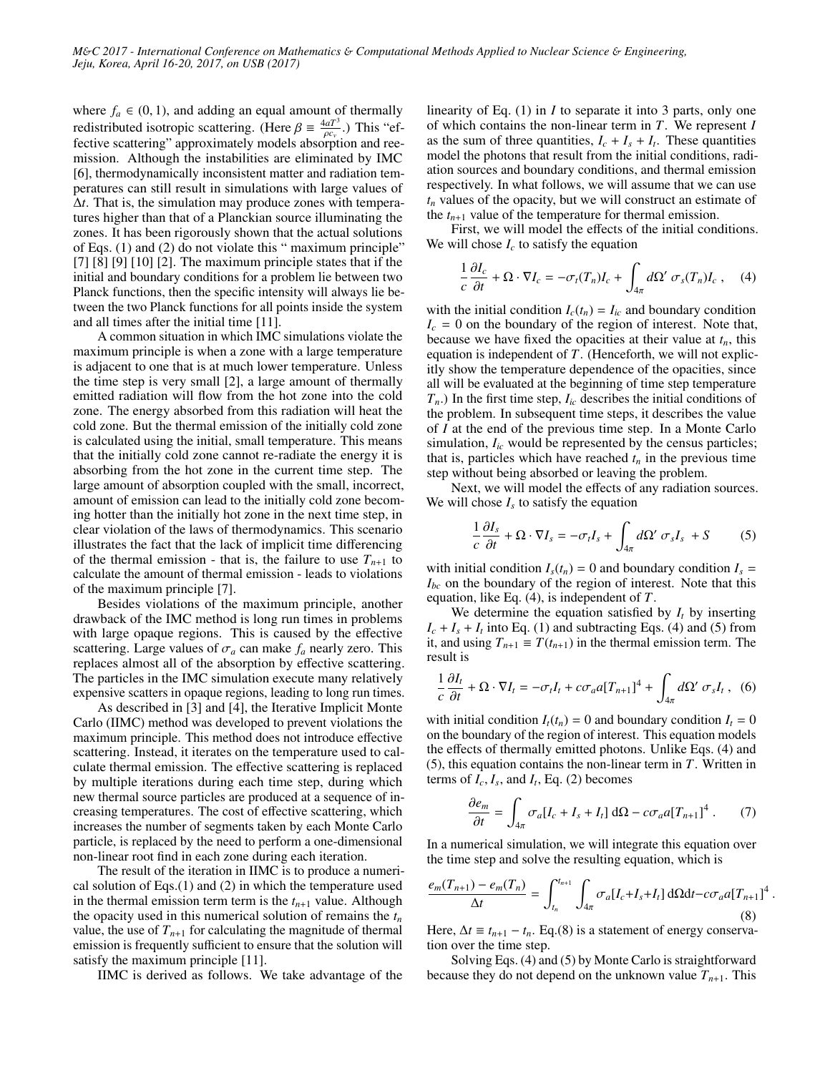where  $f_a \in (0, 1)$ , and adding an equal amount of thermally redistributed isotropic scattering. (Here  $\beta \equiv \frac{4aT^3}{\rho c}$ .) This "effective scattering" approximately models absorption and ree-**Proximately is scattering.** (FIGU)  $\rho = \rho_{c_v}$  (FIGU) This contains the reduction and reemission. Although the instabilities are eliminated by IMC [6], thermodynamically inconsistent matter and radiation temperatures can still result in simulations with large values of ∆*t*. That is, the simulation may produce zones with temperatures higher than that of a Planckian source illuminating the zones. It has been rigorously shown that the actual solutions of Eqs. (1) and (2) do not violate this " maximum principle"  $[7] [8] [9] [10] [2]$ . The maximum principle states that if the initial and boundary conditions for a problem lie between two Planck functions, then the specific intensity will always lie between the two Planck functions for all points inside the system and all times after the initial time [11].

A common situation in which IMC simulations violate the maximum principle is when a zone with a large temperature is adjacent to one that is at much lower temperature. Unless the time step is very small [2], a large amount of thermally emitted radiation will flow from the hot zone into the cold zone. The energy absorbed from this radiation will heat the cold zone. But the thermal emission of the initially cold zone is calculated using the initial, small temperature. This means that the initially cold zone cannot re-radiate the energy it is absorbing from the hot zone in the current time step. The large amount of absorption coupled with the small, incorrect, amount of emission can lead to the initially cold zone becoming hotter than the initially hot zone in the next time step, in clear violation of the laws of thermodynamics. This scenario illustrates the fact that the lack of implicit time differencing of the thermal emission - that is, the failure to use  $T_{n+1}$  to calculate the amount of thermal emission - leads to violations of the maximum principle [7].

Besides violations of the maximum principle, another drawback of the IMC method is long run times in problems with large opaque regions. This is caused by the effective scattering. Large values of  $\sigma_a$  can make  $f_a$  nearly zero. This replaces almost all of the absorption by effective scattering. The particles in the IMC simulation execute many relatively expensive scatters in opaque regions, leading to long run times.

As described in [3] and [4], the Iterative Implicit Monte Carlo (IIMC) method was developed to prevent violations the maximum principle. This method does not introduce effective scattering. Instead, it iterates on the temperature used to calculate thermal emission. The effective scattering is replaced by multiple iterations during each time step, during which new thermal source particles are produced at a sequence of increasing temperatures. The cost of effective scattering, which increases the number of segments taken by each Monte Carlo particle, is replaced by the need to perform a one-dimensional non-linear root find in each zone during each iteration.

The result of the iteration in IIMC is to produce a numerical solution of Eqs.(1) and (2) in which the temperature used in the thermal emission term term is the  $t_{n+1}$  value. Although the opacity used in this numerical solution of remains the *t<sup>n</sup>* value, the use of  $T_{n+1}$  for calculating the magnitude of thermal emission is frequently sufficient to ensure that the solution will satisfy the maximum principle [11].

IIMC is derived as follows. We take advantage of the

linearity of Eq. (1) in *I* to separate it into 3 parts, only one of which contains the non-linear term in *T*. We represent *I* as the sum of three quantities,  $I_c + I_s + I_t$ . These quantities model the photons that result from the initial conditions, radiation sources and boundary conditions, and thermal emission respectively. In what follows, we will assume that we can use *t<sup>n</sup>* values of the opacity, but we will construct an estimate of the  $t_{n+1}$  value of the temperature for thermal emission.

First, we will model the effects of the initial conditions. We will chose  $I_c$  to satisfy the equation

$$
\frac{1}{c}\frac{\partial I_c}{\partial t} + \Omega \cdot \nabla I_c = -\sigma_t(T_n)I_c + \int_{4\pi} d\Omega' \sigma_s(T_n)I_c \,, \quad (4)
$$

with the initial condition  $I_c(t_n) = I_{ic}$  and boundary condition  $I_c = 0$  on the boundary of the region of interest. Note that, because we have fixed the opacities at their value at  $t_n$ , this equation is independent of *T*. (Henceforth, we will not explicitly show the temperature dependence of the opacities, since all will be evaluated at the beginning of time step temperature  $T_n$ .) In the first time step,  $I_{ic}$  describes the initial conditions of the problem. In subsequent time steps, it describes the value of *I* at the end of the previous time step. In a Monte Carlo simulation,  $I_{ic}$  would be represented by the census particles; that is, particles which have reached  $t_n$  in the previous time step without being absorbed or leaving the problem.

Next, we will model the effects of any radiation sources. We will chose  $I_s$  to satisfy the equation

$$
\frac{1}{c}\frac{\partial I_s}{\partial t} + \Omega \cdot \nabla I_s = -\sigma_t I_s + \int_{4\pi} d\Omega' \sigma_s I_s + S \tag{5}
$$

with initial condition  $I_s(t_n) = 0$  and boundary condition  $I_s =$  $I_{bc}$  on the boundary of the region of interest. Note that this equation, like Eq. (4), is independent of *T*.

We determine the equation satisfied by *I<sup>t</sup>* by inserting  $I_c + I_s + I_t$  into Eq. (1) and subtracting Eqs. (4) and (5) from it, and using  $T_{n+1}$  ≡  $T(t_{n+1})$  in the thermal emission term. The result is

$$
\frac{1}{c}\frac{\partial I_t}{\partial t} + \Omega \cdot \nabla I_t = -\sigma_t I_t + c\sigma_a a [T_{n+1}]^4 + \int_{4\pi} d\Omega' \sigma_s I_t \,, \tag{6}
$$

with initial condition  $I_t(t_n) = 0$  and boundary condition  $I_t = 0$ on the boundary of the region of interest. This equation models the effects of thermally emitted photons. Unlike Eqs. (4) and (5), this equation contains the non-linear term in *T*. Written in terms of  $I_c$ ,  $I_s$ , and  $I_t$ , Eq. (2) becomes

$$
\frac{\partial e_m}{\partial t} = \int_{4\pi} \sigma_a [I_c + I_s + I_t] \, d\Omega - c \sigma_a a [T_{n+1}]^4 \,. \tag{7}
$$

In a numerical simulation, we will integrate this equation over the time step and solve the resulting equation, which is

$$
\frac{e_m(T_{n+1}) - e_m(T_n)}{\Delta t} = \int_{t_n}^{t_{n+1}} \int_{4\pi} \sigma_a [I_c + I_s + I_t] \, d\Omega dt - c \sigma_a a [T_{n+1}]^4
$$
\n(8)

Here,  $\Delta t \equiv t_{n+1} - t_n$ . Eq.(8) is a statement of energy conservation over the time step.

Solving Eqs. (4) and (5) by Monte Carlo is straightforward because they do not depend on the unknown value  $T_{n+1}$ . This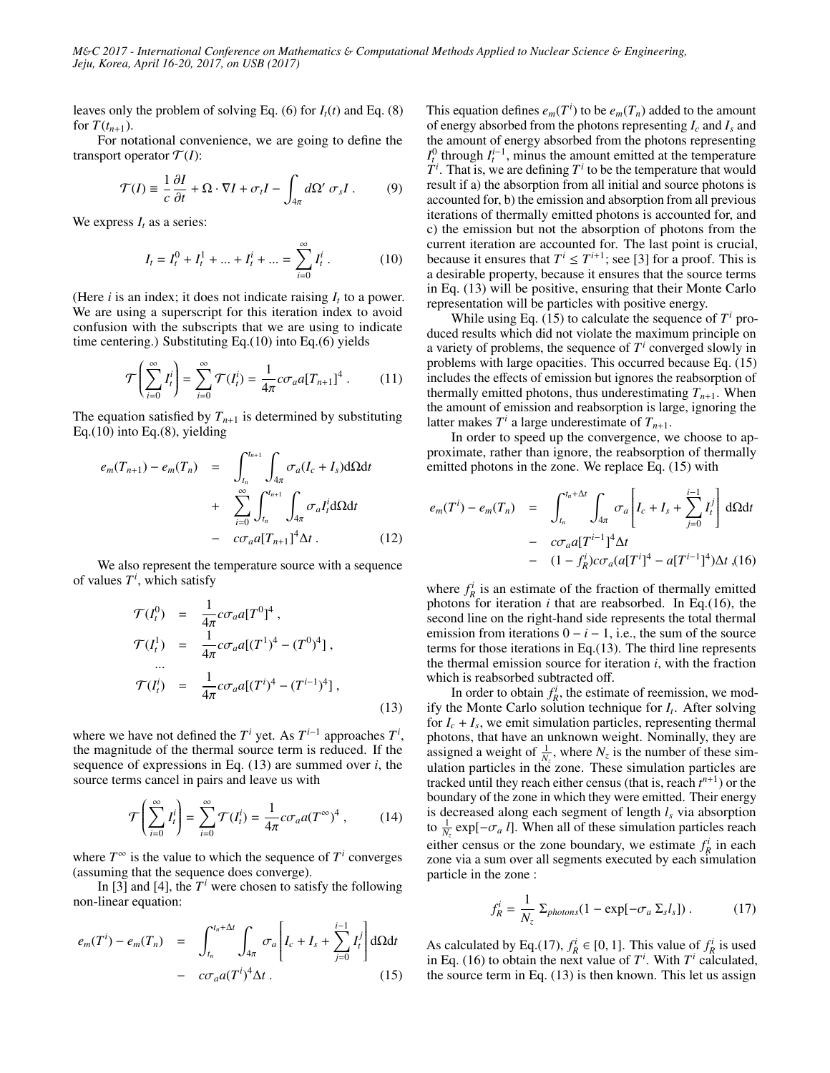*M*&*C 2017 - International Conference on Mathematics* & *Computational Methods Applied to Nuclear Science* & *Engineering, Jeju, Korea, April 16-20, 2017, on USB (2017)*

leaves only the problem of solving Eq. (6) for  $I_t(t)$  and Eq. (8) for  $T(t_{n+1})$ .

For notational convenience, we are going to define the transport operator  $\mathcal{T}(I)$ :

$$
\mathcal{T}(I) \equiv \frac{1}{c} \frac{\partial I}{\partial t} + \Omega \cdot \nabla I + \sigma_t I - \int_{4\pi} d\Omega' \sigma_s I \,. \tag{9}
$$

We express  $I_t$  as a series:

$$
I_t = I_t^0 + I_t^1 + \dots + I_t^i + \dots = \sum_{i=0}^{\infty} I_t^i.
$$
 (10)

(Here  $i$  is an index; it does not indicate raising  $I_t$  to a power. We are using a superscript for this iteration index to avoid confusion with the subscripts that we are using to indicate time centering.) Substituting Eq.(10) into Eq.(6) yields

$$
\mathcal{T}\left(\sum_{i=0}^{\infty} I_i^i\right) = \sum_{i=0}^{\infty} \mathcal{T}(I_i^i) = \frac{1}{4\pi} c \sigma_a a [T_{n+1}]^4 \ . \tag{11}
$$

The equation satisfied by  $T_{n+1}$  is determined by substituting Eq.(10) into Eq.(8), yielding

$$
e_m(T_{n+1}) - e_m(T_n) = \int_{t_n}^{t_{n+1}} \int_{4\pi} \sigma_a(I_c + I_s) d\Omega dt
$$
  
+ 
$$
\sum_{i=0}^{\infty} \int_{t_n}^{t_{n+1}} \int_{4\pi} \sigma_a I_t^i d\Omega dt
$$
  
- 
$$
c\sigma_a a [T_{n+1}]^4 \Delta t .
$$
 (12)

We also represent the temperature source with a sequence of values *T i* , which satisfy

$$
\mathcal{T}(I_t^0) = \frac{1}{4\pi} c \sigma_a a [T^0]^4 ,
$$
  
\n
$$
\mathcal{T}(I_t^1) = \frac{1}{4\pi} c \sigma_a a [(T^1)^4 - (T^0)^4] ,
$$
  
\n...  
\n
$$
\mathcal{T}(I_t^i) = \frac{1}{4\pi} c \sigma_a a [(T^i)^4 - (T^{i-1})^4] ,
$$
\n(13)

where we have not defined the  $T^i$  yet. As  $T^{i-1}$  approaches  $T^i$ , the magnitude of the thermal source term is reduced. If the sequence of expressions in Eq. (13) are summed over *i*, the source terms cancel in pairs and leave us with

$$
\mathcal{T}\left(\sum_{i=0}^{\infty} I_i^i\right) = \sum_{i=0}^{\infty} \mathcal{T}(I_i^i) = \frac{1}{4\pi} c \sigma_a a (T^{\infty})^4 ,\qquad (14)
$$

where  $T^{\infty}$  is the value to which the sequence of  $T^i$  converges (assuming that the sequence does converge).

In [3] and [4], the  $T^i$  were chosen to satisfy the following non-linear equation:

$$
e_m(T^i) - e_m(T_n) = \int_{t_n}^{t_n + \Delta t} \int_{4\pi} \sigma_a \left[ I_c + I_s + \sum_{j=0}^{i-1} I_j^j \right] d\Omega dt
$$

$$
- c\sigma_a a(T^i)^4 \Delta t . \qquad (15)
$$

This equation defines  $e_m(T^i)$  to be  $e_m(T_n)$  added to the amount of energy absorbed from the photons representing *I<sup>c</sup>* and *I<sup>s</sup>* and the amount of energy absorbed from the photons representing  $I_t^0$  through  $I_t^{i-1}$ , minus the amount emitted at the temperature  $T^i$ . That is, we are defining  $T^i$  to be the temperature that would result if a) the absorption from all initial and source photons is accounted for, b) the emission and absorption from all previous iterations of thermally emitted photons is accounted for, and c) the emission but not the absorption of photons from the current iteration are accounted for. The last point is crucial, because it ensures that  $T^i \leq T^{i+1}$ ; see [3] for a proof. This is a desirable property, because it ensures that the source terms in Eq. (13) will be positive, ensuring that their Monte Carlo representation will be particles with positive energy.

While using Eq. (15) to calculate the sequence of  $T^i$  produced results which did not violate the maximum principle on a variety of problems, the sequence of  $T<sup>i</sup>$  converged slowly in problems with large opacities. This occurred because Eq. (15) includes the effects of emission but ignores the reabsorption of thermally emitted photons, thus underestimating  $T_{n+1}$ . When the amount of emission and reabsorption is large, ignoring the latter makes  $T^i$  a large underestimate of  $T_{n+1}$ .

In order to speed up the convergence, we choose to approximate, rather than ignore, the reabsorption of thermally emitted photons in the zone. We replace Eq. (15) with

$$
e_m(T^i) - e_m(T_n) = \int_{t_n}^{t_n + \Delta t} \int_{4\pi} \sigma_a \left[ I_c + I_s + \sum_{j=0}^{i-1} I_t^j \right] d\Omega dt
$$
  
-  $c\sigma_a a [T^{i-1}]^4 \Delta t$   
-  $(1 - f_R^i) c\sigma_a (a [T^i]^4 - a [T^{i-1}]^4) \Delta t$ , (16)

where  $f_R^i$  is an estimate of the fraction of thermally emitted photons for iteration *i* that are reabsorbed. In Eq.(16), the second line on the right-hand side represents the total thermal emission from iterations  $0 - i - 1$ , i.e., the sum of the source terms for those iterations in Eq.(13). The third line represents the thermal emission source for iteration *i*, with the fraction which is reabsorbed subtracted off.

In order to obtain  $f_R^i$ , the estimate of reemission, we modify the Monte Carlo solution technique for *I<sup>t</sup>* . After solving for  $I_c + I_s$ , we emit simulation particles, representing thermal photons, that have an unknown weight. Nominally, they are assigned a weight of  $\frac{1}{N_z}$ , where  $N_z$  is the number of these simulation particles in the zone. These simulation particles are tracked until they reach either census (that is, reach  $t^{n+1}$ ) or the boundary of the zone in which they were emitted. Their energy is decreased along each segment of length *l<sup>s</sup>* via absorption to  $\frac{1}{N_z}$  exp[ $-\sigma_a$  *l*]. When all of these simulation particles reach particles reached the zone boundary we estimate fi in each either census or the zone boundary, we estimate  $f_R^i$  in each zone via a sum over all segments executed by each simulation particle in the zone :

$$
f_R^i = \frac{1}{N_z} \sum_{photons} (1 - \exp[-\sigma_a \Sigma_s l_s]) \,. \tag{17}
$$

As calculated by Eq.(17),  $f_R^i \in [0, 1]$ . This value of  $f_R^i$  is used<br>in Eq. (16) to obtain the next value of  $T^i$ . With  $T^i$  calculated in Eq. (16) to obtain the next value of  $T^i$ . With  $T^i$  calculated, the source term in Eq. (13) is then known. This let us assign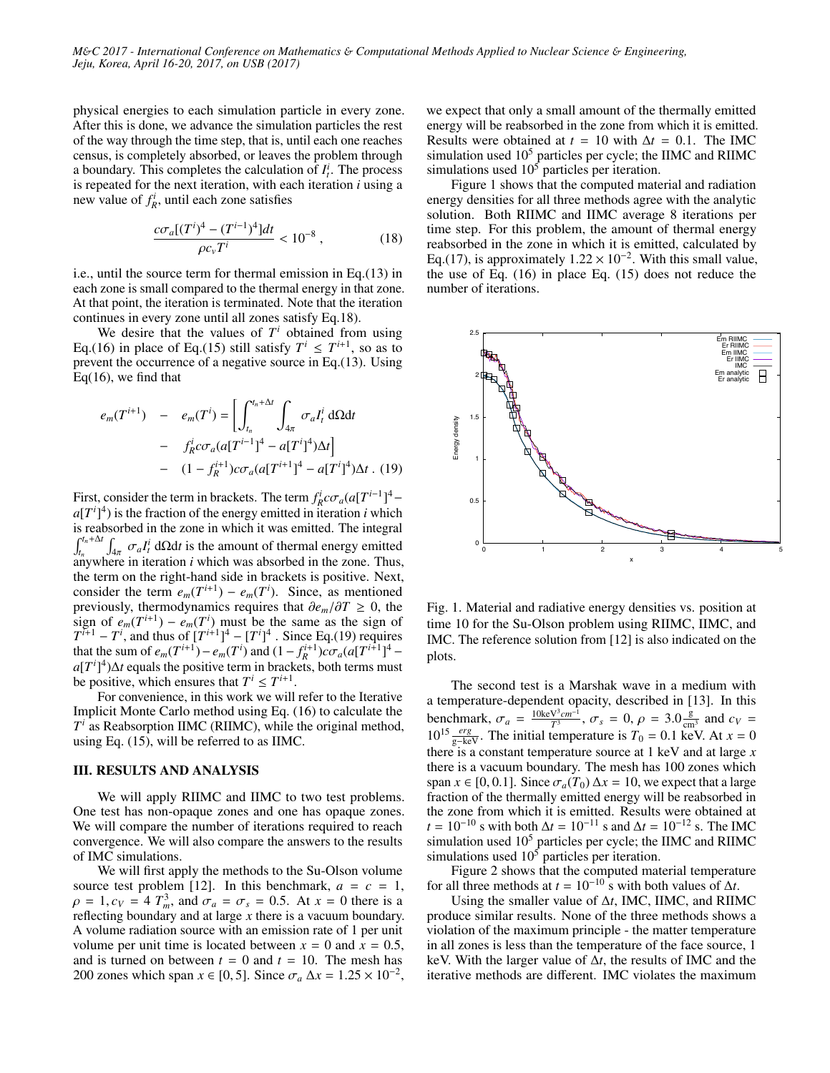*M*&*C 2017 - International Conference on Mathematics* & *Computational Methods Applied to Nuclear Science* & *Engineering, Jeju, Korea, April 16-20, 2017, on USB (2017)*

physical energies to each simulation particle in every zone. After this is done, we advance the simulation particles the rest of the way through the time step, that is, until each one reaches census, is completely absorbed, or leaves the problem through a boundary. This completes the calculation of  $I_t^i$ . The process is repeated for the next iteration, with each iteration *i* using a new value of  $f_R^i$ , until each zone satisfies

$$
\frac{c\sigma_a[(T^i)^4 - (T^{i-1})^4]dt}{\rho c_v T^i} < 10^{-8} \,,\tag{18}
$$

i.e., until the source term for thermal emission in Eq.(13) in each zone is small compared to the thermal energy in that zone. At that point, the iteration is terminated. Note that the iteration continues in every zone until all zones satisfy Eq.18).

We desire that the values of  $T<sup>i</sup>$  obtained from using Eq.(16) in place of Eq.(15) still satisfy  $T^i \leq T^{i+1}$ , so as to prevent the occurrence of a negative source in Eq.(13). Using  $Eq(16)$ , we find that

$$
e_m(T^{i+1}) - e_m(T^i) = \left[ \int_{t_n}^{t_n + \Delta t} \int_{4\pi} \sigma_a I_t^i \, d\Omega dt - f_R^i c \sigma_a (a[T^{i-1}]^4 - a[T^i]^4) \Delta t \right] - (1 - f_R^{i+1}) c \sigma_a (a[T^{i+1}]^4 - a[T^i]^4) \Delta t . \tag{19}
$$

First, consider the term in brackets. The term  $f_R^i c \sigma_a (a[T^{i-1}]^4 - a[T^{i+1}]^3)$  is the fraction of the energy emitted in iteration *i* which  $a[T^i]^4$ ) is the fraction of the energy emitted in iteration *i* which is reabsorbed in the zone in which it was emitted. The integral  $\int_{t_n}^{t_n+\Delta t}$  $\int_{4\pi} \sigma_a I_t^i \, d\Omega dt$  is the amount of thermal energy emitted  $\sigma$  is iteration *i* which was absorbed in the zone. Thus anywhere in iteration *i* which was absorbed in the zone. Thus, the term on the right-hand side in brackets is positive. Next, consider the term  $e_m(T^{i+1}) - e_m(T^i)$ . Since, as mentioned previously, thermodynamics requires that  $\partial e_m / \partial T \ge 0$ , the sign of  $e_m(T^{i+1}) - e_m(T^i)$  must be the same as the sign of  $T^{i+1} - T^i$ , and thus of  $[T^{i+1}]^4 - [T^i]^4$ . Since Eq.(19) requires that the sum of  $e_m(T^{i+1}) - e_m(T^i)$  and  $(1 - f_R^{i+1})c\sigma_a(a[T^{i+1}]^4 - a[T^{i+1}]^4)$  $a[T^i]^4$ )∆*t* equals the positive term in brackets, both terms must be positive, which ensures that  $T^i \leq T^{i+1}$ .

For convenience, in this work we will refer to the Iterative Implicit Monte Carlo method using Eq. (16) to calculate the  $T^i$  as Reabsorption IIMC (RIIMC), while the original method, using Eq. (15), will be referred to as IIMC.

### III. RESULTS AND ANALYSIS

We will apply RIIMC and IIMC to two test problems. One test has non-opaque zones and one has opaque zones. We will compare the number of iterations required to reach convergence. We will also compare the answers to the results of IMC simulations.

We will first apply the methods to the Su-Olson volume source test problem [12]. In this benchmark,  $a = c = 1$ ,  $\rho = 1$ ,  $c_V = 4 T_m^3$ , and  $\sigma_a = \sigma_s = 0.5$ . At  $x = 0$  there is a reflecting boundary and at large x there is a vacuum boundary reflecting boundary and at large *x* there is a vacuum boundary. A volume radiation source with an emission rate of 1 per unit volume per unit time is located between  $x = 0$  and  $x = 0.5$ , and is turned on between  $t = 0$  and  $t = 10$ . The mesh has 200 zones which span  $x \in [0, 5]$ . Since  $\sigma_a \Delta x = 1.25 \times 10^{-2}$ ,

we expect that only a small amount of the thermally emitted energy will be reabsorbed in the zone from which it is emitted. Results were obtained at  $t = 10$  with  $\Delta t = 0.1$ . The IMC simulation used  $10<sup>5</sup>$  particles per cycle; the IIMC and RIIMC simulations used  $10<sup>5</sup>$  particles per iteration.

Figure 1 shows that the computed material and radiation energy densities for all three methods agree with the analytic solution. Both RIIMC and IIMC average 8 iterations per time step. For this problem, the amount of thermal energy reabsorbed in the zone in which it is emitted, calculated by Eq.(17), is approximately  $1.22 \times 10^{-2}$ . With this small value, the use of Eq. (16) in place Eq. (15) does not reduce the the use of Eq. (16) in place Eq. (15) does not reduce the number of iterations.



Fig. 1. Material and radiative energy densities vs. position at time 10 for the Su-Olson problem using RIIMC, IIMC, and IMC. The reference solution from [12] is also indicated on the plots.

The second test is a Marshak wave in a medium with a temperature-dependent opacity, described in [13]. In this benchmark,  $\sigma_a = \frac{10 \text{keV}^3 \text{cm}^{-1}}{T^3}, \sigma_s = 0, \rho = 3.0 \frac{\text{g}}{\text{cm}^3}$  and  $c_V = 10^{15} \text{ erg}$ . The initial temperature is  $T_s = 0.1 \text{ keV}$ . At  $r = 0$  $10^{15} \frac{erg}{g-\text{keV}}$ . The initial temperature is  $T_0 = 0.1$  keV. At  $x = 0$ <br>there is a constant temperature source at 1 keV and at large *x* there is a constant temperature source at 1 keV and at large *x* there is a vacuum boundary. The mesh has 100 zones which span  $x \in [0, 0.1]$ . Since  $\sigma_a(T_0) \Delta x = 10$ , we expect that a large fraction of the thermally emitted energy will be reabsorbed in the zone from which it is emitted. Results were obtained at  $t = 10^{-10}$  s with both  $\Delta t = 10^{-11}$  s and  $\Delta t = 10^{-12}$  s. The IMC simulation used  $10<sup>5</sup>$  particles per cycle; the IIMC and RIIMC simulations used  $10^5$  particles per iteration.

Figure 2 shows that the computed material temperature for all three methods at  $t = 10^{-10}$  s with both values of  $\Delta t$ .

Using the smaller value of ∆*t*, IMC, IIMC, and RIIMC produce similar results. None of the three methods shows a violation of the maximum principle - the matter temperature in all zones is less than the temperature of the face source, 1 keV. With the larger value of ∆*t*, the results of IMC and the iterative methods are different. IMC violates the maximum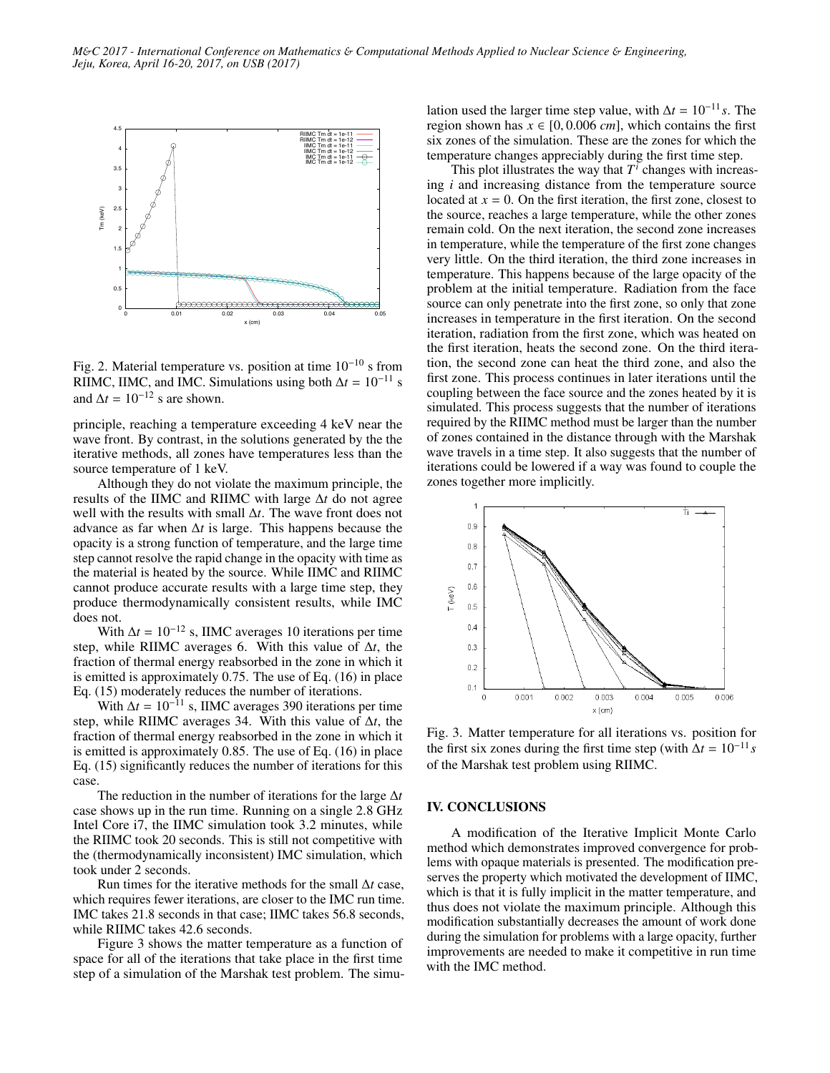

Fig. 2. Material temperature vs. position at time 10−<sup>10</sup> s from RIIMC, IIMC, and IMC. Simulations using both  $\Delta t = 10^{-11}$  s and  $\Delta t = 10^{-12}$  s are shown.

principle, reaching a temperature exceeding 4 keV near the wave front. By contrast, in the solutions generated by the the iterative methods, all zones have temperatures less than the source temperature of 1 keV.

Although they do not violate the maximum principle, the results of the IIMC and RIIMC with large ∆*t* do not agree well with the results with small ∆*t*. The wave front does not advance as far when ∆*t* is large. This happens because the opacity is a strong function of temperature, and the large time step cannot resolve the rapid change in the opacity with time as the material is heated by the source. While IIMC and RIIMC cannot produce accurate results with a large time step, they produce thermodynamically consistent results, while IMC does not.

With  $\Delta t = 10^{-12}$  s, IIMC averages 10 iterations per time step, while RIIMC averages 6. With this value of ∆*t*, the fraction of thermal energy reabsorbed in the zone in which it is emitted is approximately <sup>0</sup>.75. The use of Eq. (16) in place Eq. (15) moderately reduces the number of iterations.

With  $\Delta t = 10^{-11}$  s, IIMC averages 390 iterations per time step, while RIIMC averages 34. With this value of ∆*t*, the fraction of thermal energy reabsorbed in the zone in which it is emitted is approximately <sup>0</sup>.85. The use of Eq. (16) in place Eq. (15) significantly reduces the number of iterations for this case.

The reduction in the number of iterations for the large ∆*t* case shows up in the run time. Running on a single 2.8 GHz Intel Core i7, the IIMC simulation took 3.2 minutes, while the RIIMC took 20 seconds. This is still not competitive with the (thermodynamically inconsistent) IMC simulation, which took under 2 seconds.

Run times for the iterative methods for the small ∆*t* case, which requires fewer iterations, are closer to the IMC run time. IMC takes 21.8 seconds in that case; IIMC takes 56.8 seconds, while RIIMC takes 42.6 seconds.

Figure 3 shows the matter temperature as a function of space for all of the iterations that take place in the first time step of a simulation of the Marshak test problem. The simulation used the larger time step value, with  $\Delta t = 10^{-11} s$ . The region shown has  $x \in [0, 0.006$  *cm*, which contains the first six zones of the simulation. These are the zones for which the temperature changes appreciably during the first time step.

This plot illustrates the way that  $T^i$  changes with increasing *i* and increasing distance from the temperature source located at  $x = 0$ . On the first iteration, the first zone, closest to the source, reaches a large temperature, while the other zones remain cold. On the next iteration, the second zone increases in temperature, while the temperature of the first zone changes very little. On the third iteration, the third zone increases in temperature. This happens because of the large opacity of the problem at the initial temperature. Radiation from the face source can only penetrate into the first zone, so only that zone increases in temperature in the first iteration. On the second iteration, radiation from the first zone, which was heated on the first iteration, heats the second zone. On the third iteration, the second zone can heat the third zone, and also the first zone. This process continues in later iterations until the coupling between the face source and the zones heated by it is simulated. This process suggests that the number of iterations required by the RIIMC method must be larger than the number of zones contained in the distance through with the Marshak wave travels in a time step. It also suggests that the number of iterations could be lowered if a way was found to couple the zones together more implicitly.



Fig. 3. Matter temperature for all iterations vs. position for the first six zones during the first time step (with  $\Delta t = 10^{-11} s$ of the Marshak test problem using RIIMC.

#### IV. CONCLUSIONS

A modification of the Iterative Implicit Monte Carlo method which demonstrates improved convergence for problems with opaque materials is presented. The modification preserves the property which motivated the development of IIMC, which is that it is fully implicit in the matter temperature, and thus does not violate the maximum principle. Although this modification substantially decreases the amount of work done during the simulation for problems with a large opacity, further improvements are needed to make it competitive in run time with the IMC method.